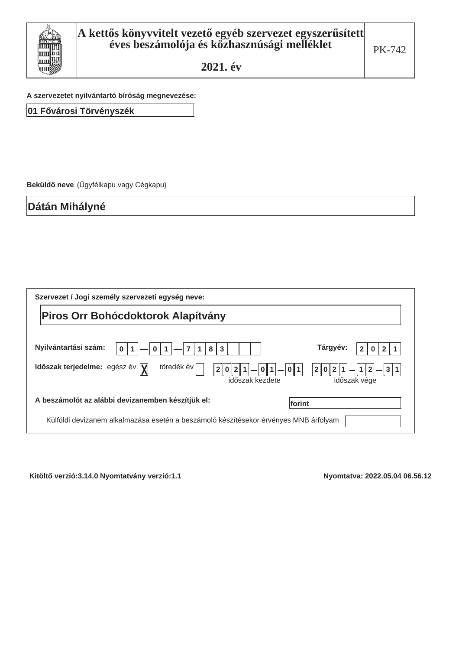

A szervezetet nyilvántartó bíróság megnevezése:

01 Fővárosi Törvényszék

Beküldő neve (Ügyfélkapu vagy Cégkapu)

Dátán Mihályné

| Szervezet / Jogi személy szervezeti egység neve:                                                                      |                                                                     |
|-----------------------------------------------------------------------------------------------------------------------|---------------------------------------------------------------------|
| Piros Orr Bohócdoktorok Alapítvány                                                                                    |                                                                     |
| Nyilvántartási szám:<br>8<br>3<br>$\bf{0}$<br>0                                                                       | Tárgyév:                                                            |
| töredék év<br>Időszak terjedelme: egész év $\bar{y}$<br>$-01$<br>$\overline{2}$<br>0 2 1 <br> 0 1 <br>időszak kezdete | $ 1 2 -3 1$<br>2 0 2 1 <br>$\overline{\phantom{0}}$<br>időszak vége |
| A beszámolót az alábbi devizanemben készítjük el:<br> forint                                                          |                                                                     |
| Külföldi devizanem alkalmazása esetén a beszámoló készítésekor érvényes MNB árfolyam                                  |                                                                     |

Kitöltő verzió:3.14.0 Nyomtatvány verzió:1.1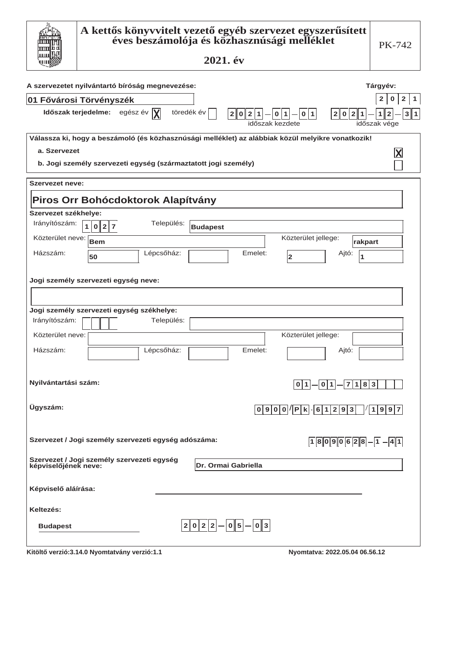|                                               | A kettős könyvvitelt vezető egyéb szervezet egyszerűsített<br>éves beszámolója és közhasznúsági melléklet<br>2021. év                                               | <b>PK-742</b>                                                                                                               |
|-----------------------------------------------|---------------------------------------------------------------------------------------------------------------------------------------------------------------------|-----------------------------------------------------------------------------------------------------------------------------|
|                                               | A szervezetet nyilvántartó bíróság megnevezése:                                                                                                                     | Tárgyév:                                                                                                                    |
|                                               | 01 Fővárosi Törvényszék<br>Időszak terjedelme: egész év $ \mathbf{X} $<br>töredék év<br>2 0<br> 2 1 <br> 0 1 <br> 0 1 <br>időszak kezdete                           | $\mathbf{2}$<br>$\mathbf 0$<br>$\overline{2}$<br>1<br> 2 0 2 1 <br>3 <sup>1</sup><br>$\mathbf{2}$<br>1<br>1<br>időszak vége |
| a. Szervezet                                  | Válassza ki, hogy a beszámoló (és közhasznúsági melléklet) az alábbiak közül melyikre vonatkozik!<br>b. Jogi személy szervezeti egység (származtatott jogi személy) | $\boldsymbol{\mathsf{X}}$                                                                                                   |
| <b>Szervezet neve:</b>                        |                                                                                                                                                                     |                                                                                                                             |
|                                               | Piros Orr Bohócdoktorok Alapítvány                                                                                                                                  |                                                                                                                             |
| Szervezet székhelye:                          |                                                                                                                                                                     |                                                                                                                             |
| Irányítószám:                                 | Település:<br>$\mathbf{1}$<br>0 2 7<br><b>Budapest</b>                                                                                                              |                                                                                                                             |
| Közterület neve:                              | Közterület jellege:<br>Bem                                                                                                                                          | rakpart                                                                                                                     |
| Házszám:                                      | Lépcsőház:<br>Emelet:<br>50<br>2                                                                                                                                    | Ajtó:<br>1                                                                                                                  |
| Irányítószám:<br>Közterület neve:<br>Házszám: | Jogi személy szervezeti egység neve:<br>Jogi személy szervezeti egység székhelye:<br>Település:<br>Közterület jellege:<br>Lépcsőház:<br>Emelet:                     | Ajtó:                                                                                                                       |
| Nyilvántartási szám:                          | $\boxed{0 1} - \boxed{0 1} - \boxed{7 1 8 3}$                                                                                                                       |                                                                                                                             |
| Ügyszám:                                      | 0 9 0 0 / P k . 6 1 2 9 3                                                                                                                                           | 1997                                                                                                                        |
|                                               | Szervezet / Jogi személy szervezeti egység adószáma:                                                                                                                | $18090628 - 1 - 41$                                                                                                         |
|                                               | Szervezet / Jogi személy szervezeti egység<br>képviselőjének neve:<br><b>Dr. Ormai Gabriella</b>                                                                    |                                                                                                                             |
| Képviselő aláírása:                           |                                                                                                                                                                     |                                                                                                                             |
| Keltezés:                                     |                                                                                                                                                                     |                                                                                                                             |
| <b>Budapest</b>                               | $ 2 0 2 2 - 0 5 - 0 3 $                                                                                                                                             |                                                                                                                             |
|                                               | Kitöltő verzió:3.14.0 Nyomtatvány verzió:1.1<br>Nyomtatva: 2022.05.04 06.56.12                                                                                      |                                                                                                                             |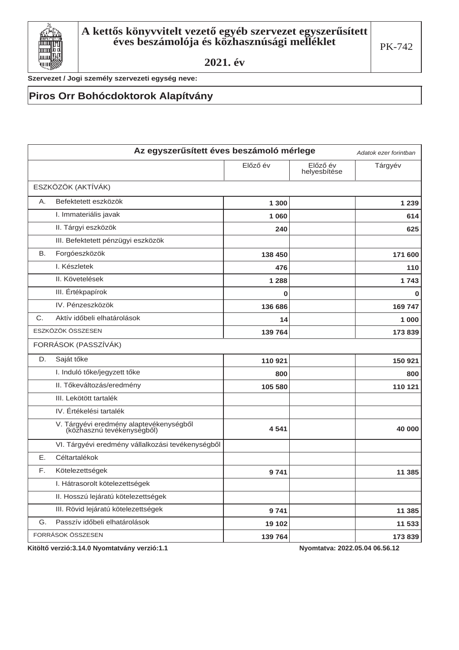

Szervezet / Jogi személy szervezeti egység neve:

### Piros Orr Bohócdoktorok Alapítvány

|             | Az egyszerűsített éves beszámoló mérlege                              |          |                          | Adatok ezer forintban |
|-------------|-----------------------------------------------------------------------|----------|--------------------------|-----------------------|
|             |                                                                       | Előző év | Előző év<br>helyesbítése | Tárgyév               |
|             | ESZKÖZÖK (AKTÍVÁK)                                                    |          |                          |                       |
| Α.          | Befektetett eszközök                                                  | 1 300    |                          | 1 2 3 9               |
|             | I. Immateriális javak                                                 | 1060     |                          | 614                   |
|             | II. Tárgyi eszközök                                                   | 240      |                          | 625                   |
|             | III. Befektetett pénzügyi eszközök                                    |          |                          |                       |
| <b>B.</b>   | Forgóeszközök                                                         | 138 450  |                          | 171 600               |
|             | I. Készletek                                                          | 476      |                          | 110                   |
|             | II. Követelések                                                       | 1 2 8 8  |                          | 1743                  |
|             | III. Értékpapírok                                                     | 0        |                          | $\mathbf 0$           |
|             | IV. Pénzeszközök                                                      | 136 686  |                          | 169 747               |
| $C_{\cdot}$ | Aktív időbeli elhatárolások                                           | 14       |                          | 1 000                 |
|             | ESZKÖZÖK ÖSSZESEN                                                     | 139 764  |                          | 173839                |
|             | FORRÁSOK (PASSZÍVÁK)                                                  |          |                          |                       |
| D.          | Saját tőke                                                            | 110 921  |                          | 150 921               |
|             | I. Induló tőke/jegyzett tőke                                          | 800      |                          | 800                   |
|             | II. Tőkeváltozás/eredmény                                             | 105 580  |                          | 110 121               |
|             | III. Lekötött tartalék                                                |          |                          |                       |
|             | IV. Értékelési tartalék                                               |          |                          |                       |
|             | V. Tárgyévi eredmény alaptevékenységből<br>(közhasznú tevékenységből) | 4541     |                          | 40 000                |
|             | VI. Tárgyévi eredmény vállalkozási tevékenységből                     |          |                          |                       |
| Ε.          | Céltartalékok                                                         |          |                          |                       |
| E.          | Kötelezettségek                                                       | 9741     |                          | 11 3 8 5              |
|             | I. Hátrasorolt kötelezettségek                                        |          |                          |                       |
|             | II. Hosszú lejáratú kötelezettségek                                   |          |                          |                       |
|             | III. Rövid lejáratú kötelezettségek                                   | 9741     |                          | 11 3 8 5              |
| G.          | Passzív időbeli elhatárolások                                         | 19 102   |                          | 11 533                |
|             | FORRÁSOK ÖSSZESEN                                                     | 139 764  |                          | 173839                |

Kitöltő verzió:3.14.0 Nyomtatvány verzió:1.1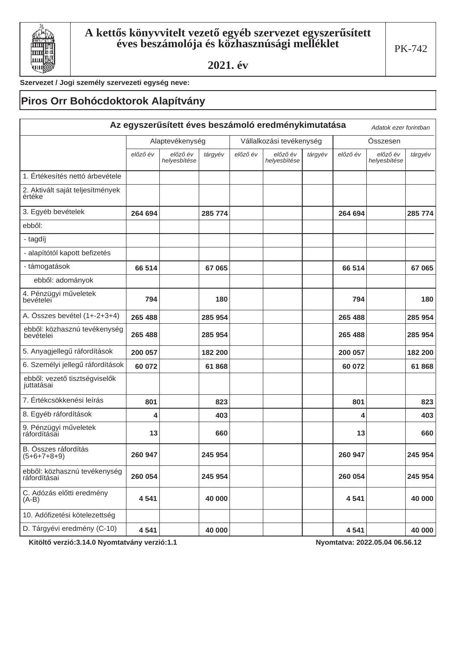

### Szervezet / Jogi személy szervezeti egység neve:

## Piros Orr Bohócdoktorok Alapítvány

|                                              |          |                          |         |          | Az egyszerűsített éves beszámoló eredménykimutatása |         |          | Adatok ezer forintban    |         |
|----------------------------------------------|----------|--------------------------|---------|----------|-----------------------------------------------------|---------|----------|--------------------------|---------|
|                                              |          | Alaptevékenység          |         |          | Vállalkozási tevékenység                            |         |          | Összesen                 |         |
|                                              | előző év | előző év<br>helyesbítése | tárgyév | előző év | előző év<br>helyesbítése                            | tárgyév | előző év | előző év<br>helyesbítése | tárgyév |
| 1. Értékesítés nettó árbevétele              |          |                          |         |          |                                                     |         |          |                          |         |
| 2. Aktivált saját teljesítmények<br>értéke   |          |                          |         |          |                                                     |         |          |                          |         |
| 3. Egyéb bevételek                           | 264 694  |                          | 285 774 |          |                                                     |         | 264 694  |                          | 285 774 |
| ebből:                                       |          |                          |         |          |                                                     |         |          |                          |         |
| - tagdíj                                     |          |                          |         |          |                                                     |         |          |                          |         |
| - alapítótól kapott befizetés                |          |                          |         |          |                                                     |         |          |                          |         |
| - támogatások                                | 66 514   |                          | 67 065  |          |                                                     |         | 66 514   |                          | 67 065  |
| ebből: adományok                             |          |                          |         |          |                                                     |         |          |                          |         |
| 4. Pénzügyi műveletek<br>bevételei           | 794      |                          | 180     |          |                                                     |         | 794      |                          | 180     |
| A. Összes bevétel (1+-2+3+4)                 | 265 488  |                          | 285 954 |          |                                                     |         | 265 488  |                          | 285 954 |
| ebből: közhasznú tevékenység<br>bevételei    | 265 488  |                          | 285 954 |          |                                                     |         | 265 488  |                          | 285 954 |
| 5. Anyagjellegű ráfordítások                 | 200 057  |                          | 182 200 |          |                                                     |         | 200 057  |                          | 182 200 |
| 6. Személyi jellegű ráfordítások             | 60 072   |                          | 61868   |          |                                                     |         | 60 072   |                          | 61868   |
| ebből: vezető tisztségviselők<br>juttatásai  |          |                          |         |          |                                                     |         |          |                          |         |
| 7. Értékcsökkenési leírás                    | 801      |                          | 823     |          |                                                     |         | 801      |                          | 823     |
| 8. Egyéb ráfordítások                        | 4        |                          | 403     |          |                                                     |         | 4        |                          | 403     |
| 9. Pénzügyi műveletek<br>ráfordításai        | 13       |                          | 660     |          |                                                     |         | 13       |                          | 660     |
| B. Összes ráfordítás<br>$(5+6+7+8+9)$        | 260 947  |                          | 245 954 |          |                                                     |         | 260 947  |                          | 245 954 |
| ebből: közhasznú tevékenység<br>ráfordításai | 260 054  |                          | 245 954 |          |                                                     |         | 260 054  |                          | 245 954 |
| C. Adózás előtti eredmény<br>$(A-B)$         | 4541     |                          | 40 000  |          |                                                     |         | 4541     |                          | 40 000  |
| 10. Adófizetési kötelezettség                |          |                          |         |          |                                                     |         |          |                          |         |
| D. Tárgyévi eredmény (C-10)                  | 4541     |                          | 40 000  |          |                                                     |         | 4541     |                          | 40 000  |

Kitöltő verzió:3.14.0 Nyomtatvány verzió:1.1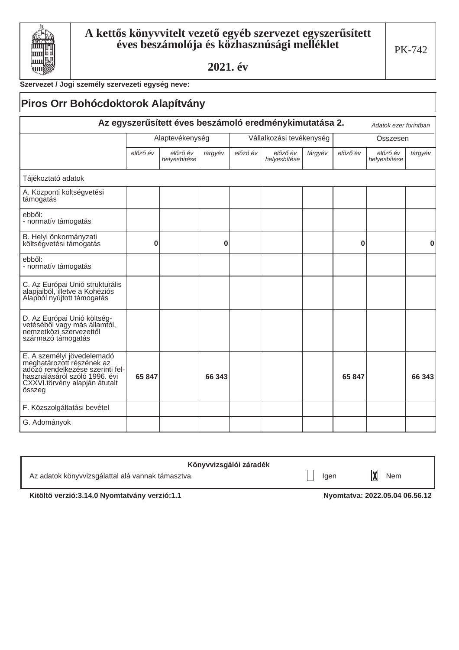

### Szervezet / Jogi személy szervezeti egység neve:

|                                                                                                                                                                         | <b>Piros Orr Bohócdoktorok Alapítvány</b> |                          |          |          |                                                        |         |          |                          |          |
|-------------------------------------------------------------------------------------------------------------------------------------------------------------------------|-------------------------------------------|--------------------------|----------|----------|--------------------------------------------------------|---------|----------|--------------------------|----------|
|                                                                                                                                                                         |                                           |                          |          |          | Az egyszerűsített éves beszámoló eredménykimutatása 2. |         |          | Adatok ezer forintban    |          |
|                                                                                                                                                                         |                                           | Alaptevékenység          |          |          | Vállalkozási tevékenység                               |         |          | Összesen                 |          |
|                                                                                                                                                                         | előző év                                  | előző év<br>helyesbítése | tárgyév  | előző év | előző év<br>helyesbítése                               | tárgyév | előző év | előző év<br>helyesbítése | tárgyév  |
| Tájékoztató adatok                                                                                                                                                      |                                           |                          |          |          |                                                        |         |          |                          |          |
| A. Központi költségvetési<br>támogatás                                                                                                                                  |                                           |                          |          |          |                                                        |         |          |                          |          |
| ebből:<br>- normatív támogatás                                                                                                                                          |                                           |                          |          |          |                                                        |         |          |                          |          |
| B. Helyi önkormányzati<br>költségvetési támogatás                                                                                                                       | 0                                         |                          | $\bf{0}$ |          |                                                        |         | 0        |                          | $\bf{0}$ |
| ebből:<br>- normatív támogatás                                                                                                                                          |                                           |                          |          |          |                                                        |         |          |                          |          |
| C. Az Európai Unió strukturális<br>alapjaiból, illetve a Kohéziós<br>Alapból nyújtott támogatás                                                                         |                                           |                          |          |          |                                                        |         |          |                          |          |
| D. Az Európai Unió költség-<br>vetéséből vagy más államtól,<br>nemzetközi szervezettől<br>származó támogatás                                                            |                                           |                          |          |          |                                                        |         |          |                          |          |
| E. A személyi jövedelemadó<br>meghatározott részének az<br>adózó rendelkezése szerinti fel-<br>használásáról szóló 1996. évi<br>CXXVI.törvény alapján átutalt<br>összeg | 65 847                                    |                          | 66 343   |          |                                                        |         | 65 847   |                          | 66 343   |
| F. Közszolgáltatási bevétel                                                                                                                                             |                                           |                          |          |          |                                                        |         |          |                          |          |
| G. Adományok                                                                                                                                                            |                                           |                          |          |          |                                                        |         |          |                          |          |

| Könyvvizsgálói záradék                            |      |     |  |
|---------------------------------------------------|------|-----|--|
| Az adatok könyvvizsgálattal alá vannak támasztva. | lgen | Nem |  |

Kitöltő verzió:3.14.0 Nyomtatvány verzió:1.1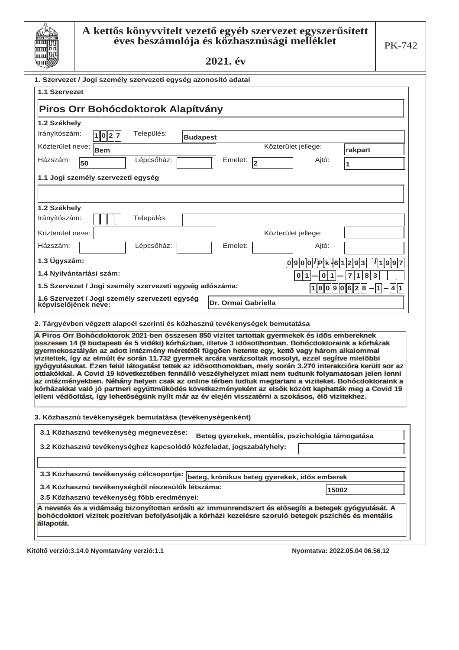

| مطاسية                                                                                                                                                                                                                                                                                                                                                                                                                                                                                                                                                                                                                                                                                                                                                                                                                                                                                                                                                                |                     |
|-----------------------------------------------------------------------------------------------------------------------------------------------------------------------------------------------------------------------------------------------------------------------------------------------------------------------------------------------------------------------------------------------------------------------------------------------------------------------------------------------------------------------------------------------------------------------------------------------------------------------------------------------------------------------------------------------------------------------------------------------------------------------------------------------------------------------------------------------------------------------------------------------------------------------------------------------------------------------|---------------------|
| 1. Szervezet / Jogi személy szervezeti egység azonosító adatai                                                                                                                                                                                                                                                                                                                                                                                                                                                                                                                                                                                                                                                                                                                                                                                                                                                                                                        |                     |
| 1.1 Szervezet                                                                                                                                                                                                                                                                                                                                                                                                                                                                                                                                                                                                                                                                                                                                                                                                                                                                                                                                                         |                     |
| Piros Orr Bohócdoktorok Alapítvány                                                                                                                                                                                                                                                                                                                                                                                                                                                                                                                                                                                                                                                                                                                                                                                                                                                                                                                                    |                     |
| 1.2 Székhely                                                                                                                                                                                                                                                                                                                                                                                                                                                                                                                                                                                                                                                                                                                                                                                                                                                                                                                                                          |                     |
| Irányítószám:<br>Település:<br> 1 0 2 7 <br><b>Budapest</b>                                                                                                                                                                                                                                                                                                                                                                                                                                                                                                                                                                                                                                                                                                                                                                                                                                                                                                           |                     |
| Közterület neve:<br>Közterület jellege:<br><b>Bem</b>                                                                                                                                                                                                                                                                                                                                                                                                                                                                                                                                                                                                                                                                                                                                                                                                                                                                                                                 | rakpart             |
| Lépcsőház:<br>Házszám:<br>Emelet:<br>Ajtó:<br>$\overline{2}$<br>50                                                                                                                                                                                                                                                                                                                                                                                                                                                                                                                                                                                                                                                                                                                                                                                                                                                                                                    | 1                   |
| 1.1 Jogi személy szervezeti egység                                                                                                                                                                                                                                                                                                                                                                                                                                                                                                                                                                                                                                                                                                                                                                                                                                                                                                                                    |                     |
|                                                                                                                                                                                                                                                                                                                                                                                                                                                                                                                                                                                                                                                                                                                                                                                                                                                                                                                                                                       |                     |
| 1.2 Székhely                                                                                                                                                                                                                                                                                                                                                                                                                                                                                                                                                                                                                                                                                                                                                                                                                                                                                                                                                          |                     |
| Irányítószám:<br>Település:                                                                                                                                                                                                                                                                                                                                                                                                                                                                                                                                                                                                                                                                                                                                                                                                                                                                                                                                           |                     |
| Közterület neve:<br>Közterület jellege:                                                                                                                                                                                                                                                                                                                                                                                                                                                                                                                                                                                                                                                                                                                                                                                                                                                                                                                               |                     |
| Lépcsőház:<br>Házszám:<br>Emelet:<br>Ajtó:                                                                                                                                                                                                                                                                                                                                                                                                                                                                                                                                                                                                                                                                                                                                                                                                                                                                                                                            |                     |
| 1.3 Ügyszám:<br> 0 9 0 0 / P k .6 1 2 9 3 / 1 9 9 7                                                                                                                                                                                                                                                                                                                                                                                                                                                                                                                                                                                                                                                                                                                                                                                                                                                                                                                   |                     |
| 1.4 Nyilvántartási szám:<br>$0 1 $ - $0 1 $ - $7 1 8 3$                                                                                                                                                                                                                                                                                                                                                                                                                                                                                                                                                                                                                                                                                                                                                                                                                                                                                                               |                     |
| 1.5 Szervezet / Jogi személy szervezeti egység adószáma:                                                                                                                                                                                                                                                                                                                                                                                                                                                                                                                                                                                                                                                                                                                                                                                                                                                                                                              | $18090628 - 1 - 41$ |
| 1.6 Szervezet / Jogi személy szervezeti egység<br>Dr. Ormai Gabriella<br>képviselőjének neve:                                                                                                                                                                                                                                                                                                                                                                                                                                                                                                                                                                                                                                                                                                                                                                                                                                                                         |                     |
| 2. Tárgyévben végzett alapcél szerinti és közhasznú tevékenységek bemutatása                                                                                                                                                                                                                                                                                                                                                                                                                                                                                                                                                                                                                                                                                                                                                                                                                                                                                          |                     |
| A Piros Orr Bohócdoktorok 2021-ben összesen 850 vizitet tartottak gyermekek és idős embereknek<br>összesen 14 (9 budapesti és 5 vidéki) kórházban, illetve 3 idősotthonban. Bohócdoktoraink a kórházak<br>gyermekosztályán az adott intézmény méretétől függően hetente egy, kettő vagy három alkalommal<br>viziteltek, így az elmúlt év során 11.732 gyermek arcára varázsoltak mosolyt, ezzel segítve mielőbbi<br>gyógyulásukat. Ezen felül látogatást tettek az idősotthonokban, mely során 3.270 interakcióra került sor az<br>ottlakókkal. A Covid 19 következtében fennálló veszélyhelyzet miatt nem tudtunk folyamatosan jelen lenni<br>az intézményekben. Néhány helyen csak az online térben tudtuk megtartani a viziteket. Bohócdoktoraink a<br>kórházakkal való jó partneri együttműködés következményeként az elsők között kaphatták meg a Covid 19<br>elleni védőoltást, így lehetőségünk nyílt már az év elején visszatérni a szokásos, élő vizitekhez. |                     |
| 3. Közhasznú tevékenységek bemutatása (tevékenységenként)                                                                                                                                                                                                                                                                                                                                                                                                                                                                                                                                                                                                                                                                                                                                                                                                                                                                                                             |                     |
| 3.1 Közhasznú tevékenység megnevezése:<br>Beteg gyerekek, mentális, pszichológia támogatása                                                                                                                                                                                                                                                                                                                                                                                                                                                                                                                                                                                                                                                                                                                                                                                                                                                                           |                     |
| 3.2 Közhasznú tevékenységhez kapcsolódó közfeladat, jogszabályhely:                                                                                                                                                                                                                                                                                                                                                                                                                                                                                                                                                                                                                                                                                                                                                                                                                                                                                                   |                     |
|                                                                                                                                                                                                                                                                                                                                                                                                                                                                                                                                                                                                                                                                                                                                                                                                                                                                                                                                                                       |                     |
| 3.3 Közhasznú tevékenység célcsoportja: beteg, krónikus beteg gyerekek, idős emberek                                                                                                                                                                                                                                                                                                                                                                                                                                                                                                                                                                                                                                                                                                                                                                                                                                                                                  |                     |
| 3.4 Közhasznú tevékenységből részesülők létszáma:<br>15002                                                                                                                                                                                                                                                                                                                                                                                                                                                                                                                                                                                                                                                                                                                                                                                                                                                                                                            |                     |
| 3.5 Közhasznú tevékenység főbb eredményei:                                                                                                                                                                                                                                                                                                                                                                                                                                                                                                                                                                                                                                                                                                                                                                                                                                                                                                                            |                     |

A nevetés és a vidámság bizonyítottan erősíti az immunrendszert és elősegíti a betegek gyógyulását. A bohócdoktori vizitek pozitívan befolyásolják a kórházi kezelésre szoruló betegek pszichés és mentális<br>állapotát.

Kitöltő verzió:3.14.0 Nyomtatvány verzió:1.1 **100 minutasi verzió:2.05.04 minutasi verzió:3.14.0 Nyomtatvány verzió:1.1** Myomtatvány verzió:1.1 minutasi verzió:1.1 minutasi verzió:1.1 minutasi verzió:1.1 minutasi verzió:1.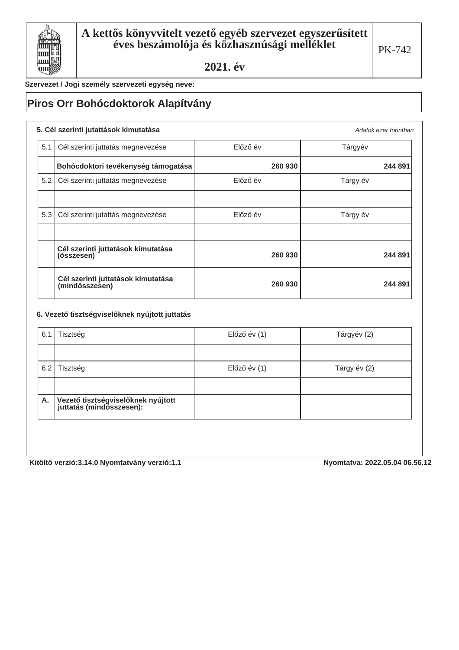

Szervezet / Jogi személy szervezeti egység neve:

## **Piros Orr Bohócdoktorok Alapítvány**

|     | 5. Cél szerinti jutattások kimutatása                |          | Adatok ezer forintban |
|-----|------------------------------------------------------|----------|-----------------------|
| 5.1 | Cél szerinti juttatás megnevezése                    | Előző év | Tárgyév               |
|     | Bohócdoktori tevékenység támogatása                  | 260 930  | 244 891               |
| 5.2 | Cél szerinti juttatás megnevezése                    | Előző év | Tárgy év              |
|     |                                                      |          |                       |
| 5.3 | Cél szerinti jutattás megnevezése                    | Előző év | Tárgy év              |
|     |                                                      |          |                       |
|     | Cél szerinti juttatások kimutatása<br>(összesen)     | 260 930  | 244 891               |
|     | Cél szerinti juttatások kimutatása<br>(mindösszesen) | 260 930  | 244 891               |

### 6. Vezető tisztségviselőknek nyújtott juttatás

| 6.1 | Tisztség                                                         | Előző év (1) | Tárgyév (2)  |
|-----|------------------------------------------------------------------|--------------|--------------|
|     |                                                                  |              |              |
| 6.2 | Tisztség                                                         | Előző év (1) | Tárgy év (2) |
|     |                                                                  |              |              |
| Α.  | Vezető tisztségviselőknek nyújtott<br>  juttatás (mindösszesen): |              |              |

Kitöltő verzió:3.14.0 Nyomtatvány verzió:1.1 **best a magazitat a magyar a magyar kitöltő** verzió:3.14.0 Nyomtatvany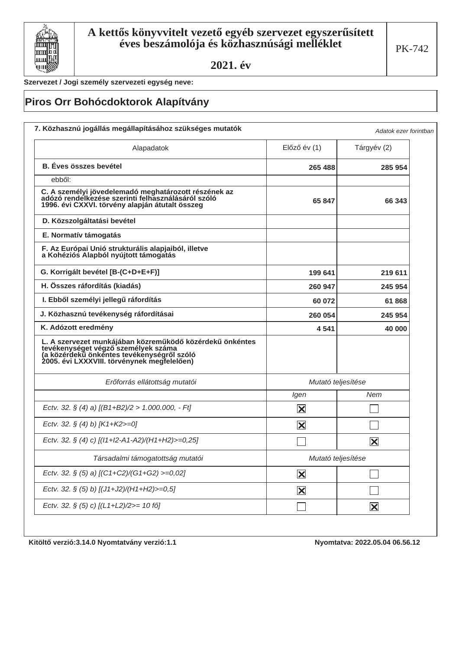

Szervezet / Jogi személy szervezeti egység neve:

# Piros Orr Bohócdoktorok Alapítvány

| Alapadatok                                                                                                                                                                                   | $El$ őző év $(1)$       | Tárgyév (2)              |
|----------------------------------------------------------------------------------------------------------------------------------------------------------------------------------------------|-------------------------|--------------------------|
| <b>B.</b> Éves összes bevétel                                                                                                                                                                | 265 488                 | 285 954                  |
| ebből:                                                                                                                                                                                       |                         |                          |
| C. A személyi jövedelemadó meghatározott részének az<br>adózó rendelkezése szerinti felhasználásáról szóló<br>1996. évi CXXVI. törvény alapján átutalt összeg                                | 65 847                  | 66 343                   |
| D. Közszolgáltatási bevétel                                                                                                                                                                  |                         |                          |
| E. Normatív támogatás                                                                                                                                                                        |                         |                          |
| F. Az Európai Unió strukturális alapjaiból, illetve<br>a Kohéziós Alapból nyújtott támogatás                                                                                                 |                         |                          |
| G. Korrigált bevétel [B-(C+D+E+F)]                                                                                                                                                           | 199 641                 | 219 611                  |
| H. Összes ráfordítás (kiadás)                                                                                                                                                                | 260 947                 | 245 954                  |
| I. Ebből személyi jellegű ráfordítás                                                                                                                                                         | 60 072                  | 61868                    |
| J. Közhasznú tevékenység ráfordításai                                                                                                                                                        | 260 054                 | 245 954                  |
| K. Adózott eredmény                                                                                                                                                                          | 4 5 4 1                 | 40 000                   |
| L. A szervezet munkájában közreműködő közérdekű önkéntes<br>tevékenységet végző személyek száma<br>(a közérdekű önkéntes tevékenységről szóló<br>2005. évi LXXXVIII. törvénynek megfelelően) |                         |                          |
| Erőforrás ellátottság mutatói                                                                                                                                                                | Mutató teljesítése      |                          |
|                                                                                                                                                                                              | Igen                    | Nem                      |
| Ectv. 32. § (4) a) [(B1+B2)/2 > 1.000.000, - Ft]                                                                                                                                             | $\overline{\mathbf{X}}$ |                          |
| Ectv. 32. § (4) b) $[K1+K2>=0]$                                                                                                                                                              | $\vert\mathbf{X}\vert$  |                          |
| Ectv. 32. § (4) c) [(11+12-A1-A2)/(H1+H2)>=0,25]                                                                                                                                             |                         | $\vert \mathsf{x} \vert$ |
| Társadalmi támogatottság mutatói                                                                                                                                                             | Mutató teljesítése      |                          |
| Ectv. 32. § (5) a) [(C1+C2)/(G1+G2) >=0,02]                                                                                                                                                  | $\overline{\mathbf{X}}$ |                          |
| Ectv. 32. § (5) b) [(J1+J2)/(H1+H2)>=0,5]                                                                                                                                                    | $\mathbf{\overline{X}}$ |                          |
| Ectv. 32. § (5) c) [(L1+L2)/2>= 10 fő]                                                                                                                                                       |                         | $\overline{\mathbf{X}}$  |

Kitöltő verzió: 3.14.0 Nyomtatvány verzió: 1.1